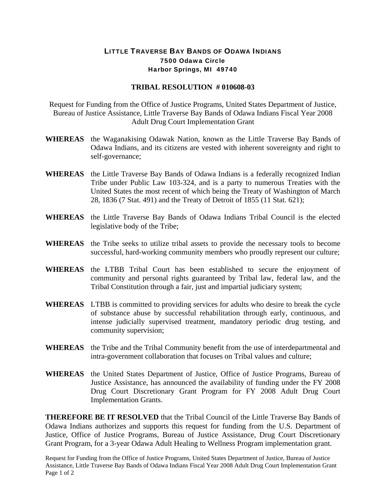## LITTLE TRAVERSE BAY BANDS OF ODAWA INDIANS 7500 Odawa Circle Harbor Springs, MI 49740

## **TRIBAL RESOLUTION # 010608-03**

Request for Funding from the Office of Justice Programs, United States Department of Justice, Bureau of Justice Assistance, Little Traverse Bay Bands of Odawa Indians Fiscal Year 2008 Adult Drug Court Implementation Grant

- **WHEREAS** the Waganakising Odawak Nation, known as the Little Traverse Bay Bands of Odawa Indians, and its citizens are vested with inherent sovereignty and right to self-governance;
- **WHEREAS** the Little Traverse Bay Bands of Odawa Indians is a federally recognized Indian Tribe under Public Law 103-324, and is a party to numerous Treaties with the United States the most recent of which being the Treaty of Washington of March 28, 1836 (7 Stat. 491) and the Treaty of Detroit of 1855 (11 Stat. 621);
- **WHEREAS** the Little Traverse Bay Bands of Odawa Indians Tribal Council is the elected legislative body of the Tribe;
- **WHEREAS** the Tribe seeks to utilize tribal assets to provide the necessary tools to become successful, hard-working community members who proudly represent our culture;
- **WHEREAS** the LTBB Tribal Court has been established to secure the enjoyment of community and personal rights guaranteed by Tribal law, federal law, and the Tribal Constitution through a fair, just and impartial judiciary system;
- **WHEREAS** LTBB is committed to providing services for adults who desire to break the cycle of substance abuse by successful rehabilitation through early, continuous, and intense judicially supervised treatment, mandatory periodic drug testing, and community supervision;
- **WHEREAS** the Tribe and the Tribal Community benefit from the use of interdepartmental and intra-government collaboration that focuses on Tribal values and culture;
- **WHEREAS** the United States Department of Justice, Office of Justice Programs, Bureau of Justice Assistance, has announced the availability of funding under the FY 2008 Drug Court Discretionary Grant Program for FY 2008 Adult Drug Court Implementation Grants.

**THEREFORE BE IT RESOLVED** that the Tribal Council of the Little Traverse Bay Bands of Odawa Indians authorizes and supports this request for funding from the U.S. Department of Justice, Office of Justice Programs, Bureau of Justice Assistance, Drug Court Discretionary Grant Program, for a 3-year Odawa Adult Healing to Wellness Program implementation grant.

Request for Funding from the Office of Justice Programs, United States Department of Justice, Bureau of Justice Assistance, Little Traverse Bay Bands of Odawa Indians Fiscal Year 2008 Adult Drug Court Implementation Grant Page 1 of 2